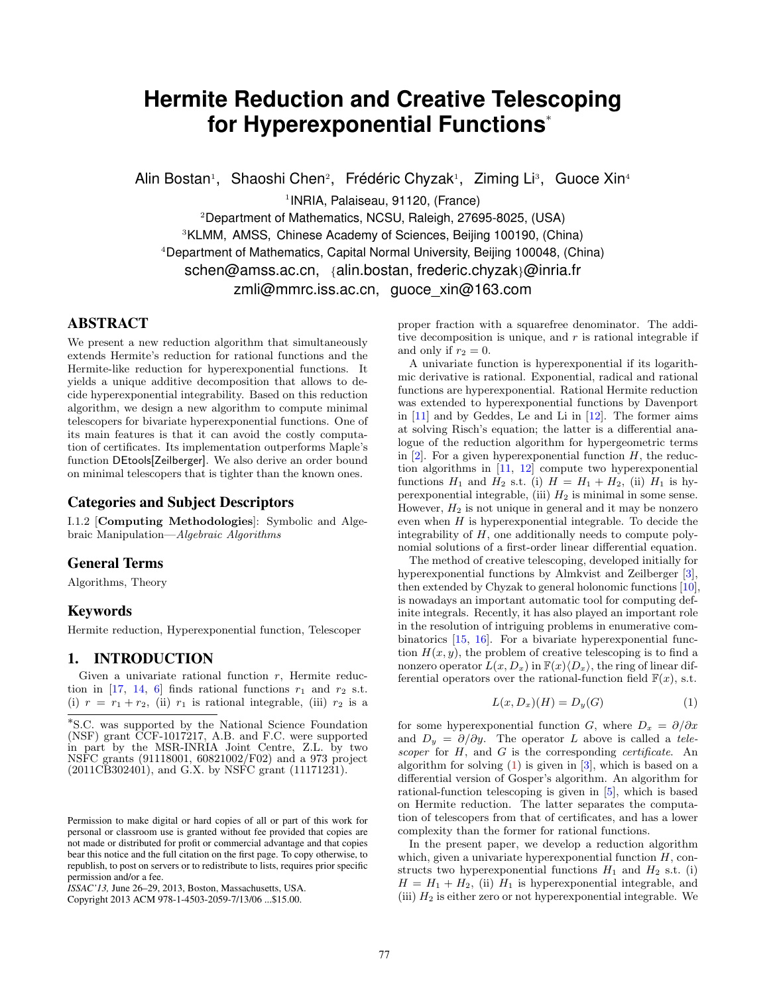# **Hermite Reduction and Creative Telescoping for Hyperexponential Functions**<sup>∗</sup>

Alin Bostan<sup>1</sup>, Shaoshi Chen<sup>2</sup>, Frédéric Chyzak<sup>1</sup>, Ziming Li<sup>3</sup>, Guoce Xin<sup>4</sup>

1 INRIA, Palaiseau, 91120, (France)

<sup>2</sup>Department of Mathematics, NCSU, Raleigh, 27695-8025, (USA) <sup>3</sup>KLMM, AMSS, Chinese Academy of Sciences, Beijing 100190, (China) <sup>4</sup>Department of Mathematics, Capital Normal University, Beijing 100048, (China) schen@amss.ac.cn, {alin.bostan, frederic.chyzak}@inria.fr zmli@mmrc.iss.ac.cn, guoce\_xin@163.com

# ABSTRACT

We present a new reduction algorithm that simultaneously extends Hermite's reduction for rational functions and the Hermite-like reduction for hyperexponential functions. It yields a unique additive decomposition that allows to decide hyperexponential integrability. Based on this reduction algorithm, we design a new algorithm to compute minimal telescopers for bivariate hyperexponential functions. One of its main features is that it can avoid the costly computation of certificates. Its implementation outperforms Maple's function DEtools[Zeilberger]. We also derive an order bound on minimal telescopers that is tighter than the known ones.

# Categories and Subject Descriptors

I.1.2 [Computing Methodologies]: Symbolic and Algebraic Manipulation—Algebraic Algorithms

# General Terms

Algorithms, Theory

# Keywords

Hermite reduction, Hyperexponential function, Telescoper

# 1. INTRODUCTION

Given a univariate rational function  $r$ , Hermite reduc-tion in [\[17,](#page-7-0) [14,](#page-7-1) [6\]](#page-7-2) finds rational functions  $r_1$  and  $r_2$  s.t. (i)  $r = r_1 + r_2$ , (ii)  $r_1$  is rational integrable, (iii)  $r_2$  is a

Copyright 2013 ACM 978-1-4503-2059-7/13/06 ...\$15.00.

proper fraction with a squarefree denominator. The additive decomposition is unique, and  $r$  is rational integrable if and only if  $r_2 = 0$ .

A univariate function is hyperexponential if its logarithmic derivative is rational. Exponential, radical and rational functions are hyperexponential. Rational Hermite reduction was extended to hyperexponential functions by Davenport in [\[11\]](#page-7-3) and by Geddes, Le and Li in [\[12\]](#page-7-4). The former aims at solving Risch's equation; the latter is a differential analogue of the reduction algorithm for hypergeometric terms in  $[2]$ . For a given hyperexponential function H, the reduction algorithms in [\[11,](#page-7-3) [12\]](#page-7-4) compute two hyperexponential functions  $H_1$  and  $H_2$  s.t. (i)  $H = H_1 + H_2$ , (ii)  $H_1$  is hyperexponential integrable, (iii)  $H_2$  is minimal in some sense. However,  $H_2$  is not unique in general and it may be nonzero even when  $H$  is hyperexponential integrable. To decide the integrability of  $H$ , one additionally needs to compute polynomial solutions of a first-order linear differential equation.

The method of creative telescoping, developed initially for hyperexponential functions by Almkvist and Zeilberger [\[3\]](#page-7-6), then extended by Chyzak to general holonomic functions [\[10\]](#page-7-7), is nowadays an important automatic tool for computing definite integrals. Recently, it has also played an important role in the resolution of intriguing problems in enumerative combinatorics [\[15,](#page-7-8) [16\]](#page-7-9). For a bivariate hyperexponential function  $H(x, y)$ , the problem of creative telescoping is to find a nonzero operator  $L(x, D_x)$  in  $\mathbb{F}(x)\langle D_x\rangle$ , the ring of linear differential operators over the rational-function field  $\mathbb{F}(x)$ , s.t.

<span id="page-0-0"></span>
$$
L(x, D_x)(H) = D_y(G) \tag{1}
$$

for some hyperexponential function G, where  $D_x = \partial/\partial x$ and  $D_y = \partial/\partial y$ . The operator L above is called a telescoper for  $H$ , and  $G$  is the corresponding *certificate*. An algorithm for solving  $(1)$  is given in  $[3]$ , which is based on a differential version of Gosper's algorithm. An algorithm for rational-function telescoping is given in [\[5\]](#page-7-10), which is based on Hermite reduction. The latter separates the computation of telescopers from that of certificates, and has a lower complexity than the former for rational functions.

In the present paper, we develop a reduction algorithm which, given a univariate hyperexponential function  $H$ , constructs two hyperexponential functions  $H_1$  and  $H_2$  s.t. (i)  $H = H_1 + H_2$ , (ii)  $H_1$  is hyperexponential integrable, and (iii)  $H_2$  is either zero or not hyperexponential integrable. We

<sup>∗</sup> S.C. was supported by the National Science Foundation (NSF) grant CCF-1017217, A.B. and F.C. were supported in part by the MSR-INRIA Joint Centre, Z.L. by two NSFC grants (91118001, 60821002/F02) and a 973 project (2011CB302401), and G.X. by NSFC grant (11171231).

Permission to make digital or hard copies of all or part of this work for personal or classroom use is granted without fee provided that copies are not made or distributed for profit or commercial advantage and that copies bear this notice and the full citation on the first page. To copy otherwise, to republish, to post on servers or to redistribute to lists, requires prior specific permission and/or a fee.

*ISSAC'13,* June 26–29, 2013, Boston, Massachusetts, USA.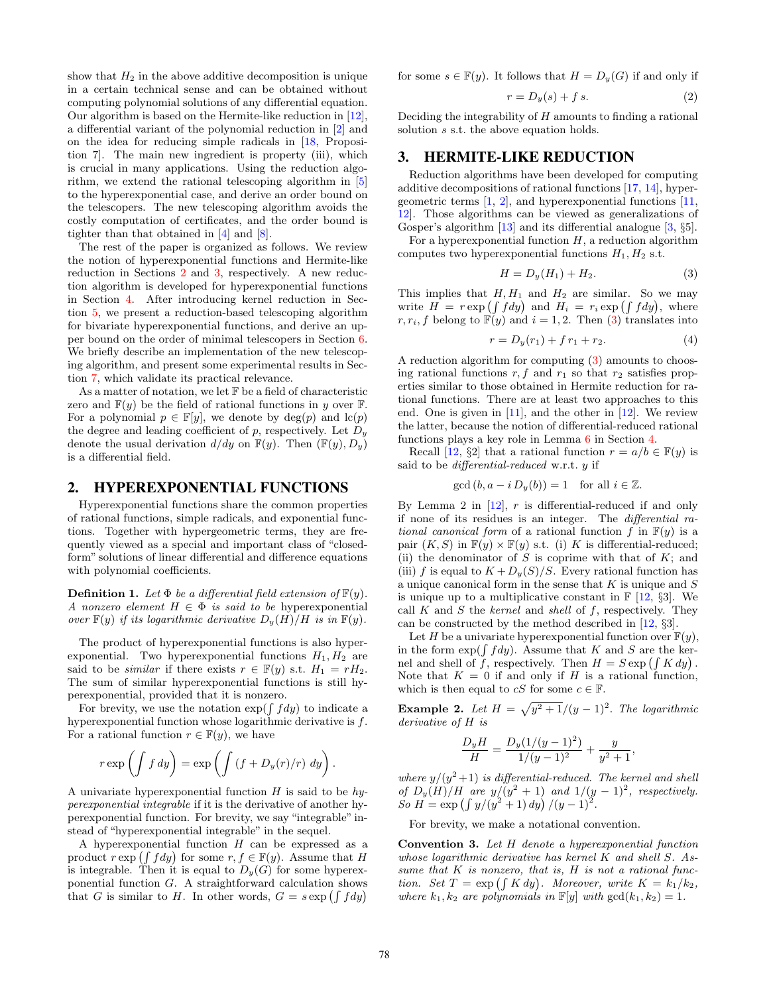show that  $H_2$  in the above additive decomposition is unique in a certain technical sense and can be obtained without computing polynomial solutions of any differential equation. Our algorithm is based on the Hermite-like reduction in [\[12\]](#page-7-4), a differential variant of the polynomial reduction in [\[2\]](#page-7-5) and on the idea for reducing simple radicals in [\[18,](#page-7-11) Proposition 7]. The main new ingredient is property (iii), which is crucial in many applications. Using the reduction algorithm, we extend the rational telescoping algorithm in [\[5\]](#page-7-10) to the hyperexponential case, and derive an order bound on the telescopers. The new telescoping algorithm avoids the costly computation of certificates, and the order bound is tighter than that obtained in [\[4\]](#page-7-12) and [\[8\]](#page-7-13).

The rest of the paper is organized as follows. We review the notion of hyperexponential functions and Hermite-like reduction in Sections [2](#page-1-0) and [3,](#page-1-1) respectively. A new reduction algorithm is developed for hyperexponential functions in Section [4.](#page-2-0) After introducing kernel reduction in Section [5,](#page-4-0) we present a reduction-based telescoping algorithm for bivariate hyperexponential functions, and derive an upper bound on the order of minimal telescopers in Section [6.](#page-4-1) We briefly describe an implementation of the new telescoping algorithm, and present some experimental results in Section [7,](#page-6-0) which validate its practical relevance.

As a matter of notation, we let F be a field of characteristic zero and  $F(y)$  be the field of rational functions in y over F. For a polynomial  $p \in \mathbb{F}[y]$ , we denote by  $deg(p)$  and  $lc(p)$ the degree and leading coefficient of p, respectively. Let  $D<sub>y</sub>$ denote the usual derivation  $d/dy$  on  $F(y)$ . Then  $(F(y), D_y)$ is a differential field.

#### <span id="page-1-0"></span>2. HYPEREXPONENTIAL FUNCTIONS

Hyperexponential functions share the common properties of rational functions, simple radicals, and exponential functions. Together with hypergeometric terms, they are frequently viewed as a special and important class of "closedform" solutions of linear differential and difference equations with polynomial coefficients.

**Definition 1.** Let  $\Phi$  be a differential field extension of  $\mathbb{F}(y)$ . A nonzero element  $H \in \Phi$  is said to be hyperexponential over  $\mathbb{F}(y)$  if its logarithmic derivative  $D_y(H)/H$  is in  $\mathbb{F}(y)$ .

The product of hyperexponential functions is also hyperexponential. Two hyperexponential functions  $H_1, H_2$  are said to be *similar* if there exists  $r \in \mathbb{F}(y)$  s.t.  $H_1 = rH_2$ . The sum of similar hyperexponential functions is still hyperexponential, provided that it is nonzero.

For brevity, we use the notation  $\exp(\int f dy)$  to indicate a hyperexponential function whose logarithmic derivative is f. For a rational function  $r \in \mathbb{F}(y)$ , we have

$$
r \exp\left(\int f\,dy\right) = \exp\left(\int \left(f + D_y(r)/r\right)\,dy\right).
$$

A univariate hyperexponential function  $H$  is said to be  $hy$ perexponential integrable if it is the derivative of another hyperexponential function. For brevity, we say "integrable" instead of "hyperexponential integrable" in the sequel.

A hyperexponential function  $H$  can be expressed as a product  $r \exp\left(\int f dy\right)$  for some  $r, f \in \mathbb{F}(y)$ . Assume that H is integrable. Then it is equal to  $D_y(G)$  for some hyperexponential function G. A straightforward calculation shows that G is similar to H. In other words,  $G = s \exp \left( \int f dy \right)$ 

for some  $s \in \mathbb{F}(y)$ . It follows that  $H = D_y(G)$  if and only if

<span id="page-1-6"></span>
$$
r = D_y(s) + fs.
$$
 (2)

Deciding the integrability of  $H$  amounts to finding a rational solution  $s$  s.t. the above equation holds.

#### <span id="page-1-1"></span>3. HERMITE-LIKE REDUCTION

Reduction algorithms have been developed for computing additive decompositions of rational functions [\[17,](#page-7-0) [14\]](#page-7-1), hypergeometric terms  $[1, 2]$  $[1, 2]$  $[1, 2]$ , and hyperexponential functions  $[11]$ , [12\]](#page-7-4). Those algorithms can be viewed as generalizations of Gosper's algorithm [\[13\]](#page-7-15) and its differential analogue [\[3,](#page-7-6) §5].

For a hyperexponential function  $H$ , a reduction algorithm computes two hyperexponential functions  $H_1, H_2$  s.t.

<span id="page-1-2"></span>
$$
H = D_y(H_1) + H_2.
$$
 (3)

This implies that  $H, H_1$  and  $H_2$  are similar. So we may write  $H = r \exp \left( \int f dy \right)$  and  $H_i = r_i \exp \left( \int f dy \right)$ , where  $r, r_i, f$  belong to  $\mathbb{F}(y)$  and  $i = 1, 2$ . Then [\(3\)](#page-1-2) translates into

<span id="page-1-5"></span>
$$
r = D_y(r_1) + f r_1 + r_2. \tag{4}
$$

A reduction algorithm for computing [\(3\)](#page-1-2) amounts to choosing rational functions  $r, f$  and  $r_1$  so that  $r_2$  satisfies properties similar to those obtained in Hermite reduction for rational functions. There are at least two approaches to this end. One is given in [\[11\]](#page-7-3), and the other in [\[12\]](#page-7-4). We review the latter, because the notion of differential-reduced rational functions plays a key role in Lemma [6](#page-2-1) in Section [4.](#page-2-0)

Recall [\[12,](#page-7-4) §2] that a rational function  $r = a/b \in \mathbb{F}(y)$  is said to be *differential-reduced* w.r.t.  $y$  if

$$
\gcd(b, a - i D_y(b)) = 1 \quad \text{for all } i \in \mathbb{Z}.
$$

By Lemma 2 in  $[12]$ , r is differential-reduced if and only if none of its residues is an integer. The differential rational canonical form of a rational function f in  $F(y)$  is a pair  $(K, S)$  in  $\mathbb{F}(y) \times \mathbb{F}(y)$  s.t. (i) K is differential-reduced; (ii) the denominator of  $S$  is coprime with that of  $K$ ; and (iii) f is equal to  $K + D_y(S)/S$ . Every rational function has a unique canonical form in the sense that  $K$  is unique and  $S$ is unique up to a multiplicative constant in  $\mathbb{F}$  [\[12,](#page-7-4) §3]. We call  $K$  and  $S$  the *kernel* and *shell* of  $f$ , respectively. They can be constructed by the method described in [\[12,](#page-7-4) §3].

Let H be a univariate hyperexponential function over  $\mathbb{F}(y)$ , in the form  $\exp(\int f dy)$ . Assume that K and S are the kernel and shell of f, respectively. Then  $H = S \exp \left( \int K dy \right)$ . Note that  $K = 0$  if and only if H is a rational function, which is then equal to cS for some  $c \in \mathbb{F}$ .

<span id="page-1-3"></span>**Example 2.** Let  $H = \sqrt{y^2 + 1}/(y - 1)^2$ . The logarithmic derivative of H is

$$
\frac{D_y H}{H} = \frac{D_y(1/(y-1)^2)}{1/(y-1)^2} + \frac{y}{y^2+1},
$$

where  $y/(y^2+1)$  is differential-reduced. The kernel and shell of  $D_y(H)/H$  are  $y/(y^2+1)$  and  $1/(y-1)^2$ , respectively. So  $H = \exp \left( \int y/(y^2 + 1) \, dy \right) / (y - 1)^2$ .

For brevity, we make a notational convention.

<span id="page-1-4"></span>Convention 3. Let H denote a hyperexponential function whose logarithmic derivative has kernel K and shell S. Assume that  $K$  is nonzero, that is,  $H$  is not a rational function. Set  $T = \exp\left(\int K dy\right)$ . Moreover, write  $K = k_1/k_2$ , where  $k_1, k_2$  are polynomials in  $\mathbb{F}[y]$  with  $gcd(k_1, k_2) = 1$ .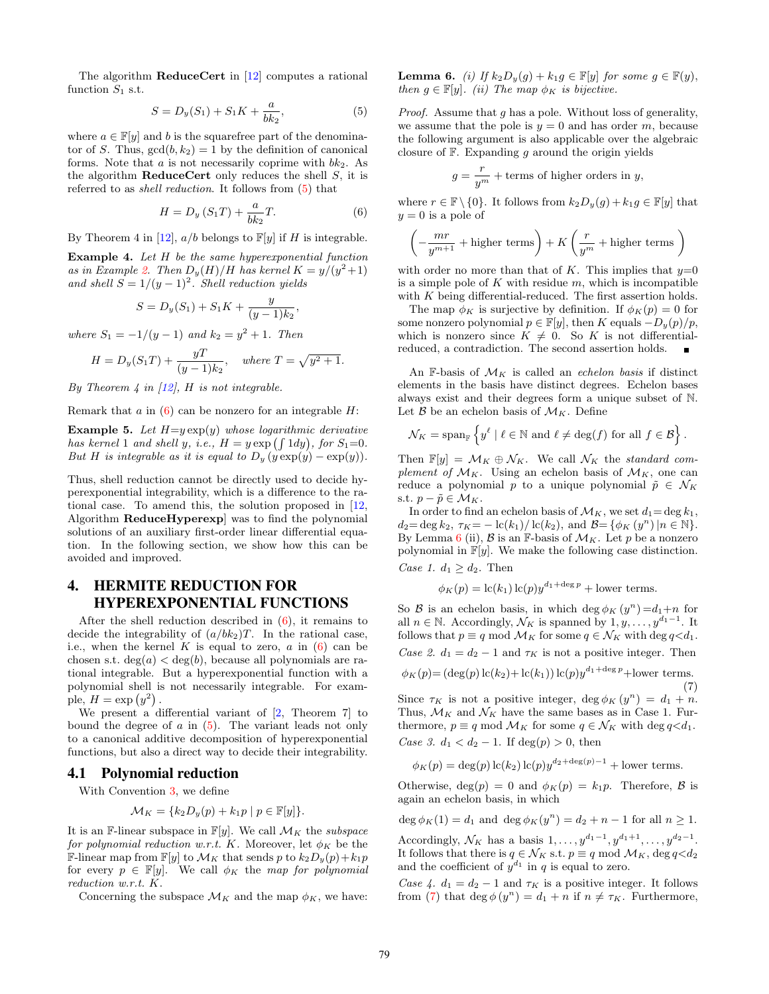The algorithm **ReduceCert** in [\[12\]](#page-7-4) computes a rational function  $S_1$  s.t.

<span id="page-2-2"></span>
$$
S = D_y(S_1) + S_1 K + \frac{a}{bk_2},
$$
\n(5)

where  $a \in \mathbb{F}[y]$  and b is the squarefree part of the denominator of S. Thus,  $gcd(b, k_2) = 1$  by the definition of canonical forms. Note that  $a$  is not necessarily coprime with  $bk_2$ . As the algorithm **ReduceCert** only reduces the shell  $S$ , it is referred to as shell reduction. It follows from [\(5\)](#page-2-2) that

<span id="page-2-3"></span>
$$
H = D_y \left( S_1 T \right) + \frac{a}{b k_2} T. \tag{6}
$$

By Theorem 4 in [\[12\]](#page-7-4),  $a/b$  belongs to  $\mathbb{F}[y]$  if H is integrable.

<span id="page-2-6"></span>Example 4. Let H be the same hyperexponential function as in Example [2.](#page-1-3) Then  $D_y(H)/H$  has kernel  $K = y/(y^2+1)$ and shell  $S = 1/(y-1)^2$ . Shell reduction yields

$$
S = D_y(S_1) + S_1 K + \frac{y}{(y-1)k_2},
$$

where  $S_1 = -1/(y-1)$  and  $k_2 = y^2 + 1$ . Then

$$
H = D_y(S_1T) + \frac{yT}{(y-1)k_2}, \text{ where } T = \sqrt{y^2+1}.
$$

By Theorem 4 in  $[12]$ , H is not integrable.

Remark that  $a$  in  $(6)$  can be nonzero for an integrable  $H$ :

<span id="page-2-7"></span>**Example 5.** Let  $H=y \exp(y)$  whose logarithmic derivative has kernel 1 and shell y, i.e.,  $H = y \exp(\int 1 dy)$ , for  $S_1 = 0$ . But H is integrable as it is equal to  $D_y(y) = \exp(y)$ .

Thus, shell reduction cannot be directly used to decide hyperexponential integrability, which is a difference to the rational case. To amend this, the solution proposed in [\[12,](#page-7-4) Algorithm ReduceHyperexp] was to find the polynomial solutions of an auxiliary first-order linear differential equation. In the following section, we show how this can be avoided and improved.

# <span id="page-2-0"></span>4. HERMITE REDUCTION FOR HYPEREXPONENTIAL FUNCTIONS

After the shell reduction described in [\(6\)](#page-2-3), it remains to decide the integrability of  $(a/bk_2)T$ . In the rational case, i.e., when the kernel K is equal to zero,  $a$  in  $(6)$  can be chosen s.t.  $deg(a) < deg(b)$ , because all polynomials are rational integrable. But a hyperexponential function with a polynomial shell is not necessarily integrable. For example,  $H = \exp(y^2)$ .

We present a differential variant of [\[2,](#page-7-5) Theorem 7] to bound the degree of  $a$  in  $(5)$ . The variant leads not only to a canonical additive decomposition of hyperexponential functions, but also a direct way to decide their integrability.

#### <span id="page-2-5"></span>4.1 Polynomial reduction

With Convention [3,](#page-1-4) we define

$$
\mathcal{M}_K = \{k_2 D_y(p) + k_1 p \mid p \in \mathbb{F}[y]\}.
$$

It is an F-linear subspace in  $\mathbb{F}[y]$ . We call  $\mathcal{M}_K$  the subspace for polynomial reduction w.r.t. K. Moreover, let  $\phi_K$  be the **F-linear map from F[y]** to  $\mathcal{M}_K$  that sends p to  $k_2D_y(p)+k_1p$ for every  $p \in \mathbb{F}[y]$ . We call  $\phi_K$  the map for polynomial reduction w.r.t. K.

Concerning the subspace  $\mathcal{M}_K$  and the map  $\phi_K$ , we have:

<span id="page-2-1"></span>**Lemma 6.** (i) If  $k_2D_y(g) + k_1g \in \mathbb{F}[y]$  for some  $g \in \mathbb{F}(y)$ , then  $g \in \mathbb{F}[y]$ . (ii) The map  $\phi_K$  is bijective.

Proof. Assume that g has a pole. Without loss of generality, we assume that the pole is  $y = 0$  and has order m, because the following argument is also applicable over the algebraic closure of  $F$ . Expanding  $g$  around the origin yields

$$
g = \frac{r}{y^m} + \text{terms of higher orders in } y,
$$

where  $r \in \mathbb{F} \setminus \{0\}$ . It follows from  $k_2D_y(g) + k_1g \in \mathbb{F}[y]$  that  $y = 0$  is a pole of

$$
\left(-\frac{mr}{y^{m+1}}+\text{higher terms}\right)+K\left(\frac{r}{y^m}+\text{higher terms}\,\right)
$$

with order no more than that of K. This implies that  $y=0$ is a simple pole of  $K$  with residue  $m$ , which is incompatible with  $K$  being differential-reduced. The first assertion holds.

The map  $\phi_K$  is surjective by definition. If  $\phi_K(p) = 0$  for some nonzero polynomial  $p \in \mathbb{F}[y]$ , then K equals  $-D_y(p)/p$ , which is nonzero since  $K \neq 0$ . So K is not differentialreduced, a contradiction. The second assertion holds.  $\blacksquare$ 

An F-basis of  $\mathcal{M}_K$  is called an echelon basis if distinct elements in the basis have distinct degrees. Echelon bases always exist and their degrees form a unique subset of N. Let  $\beta$  be an echelon basis of  $\mathcal{M}_K$ . Define

$$
\mathcal{N}_K = \operatorname{span}_{\mathbb{F}} \left\{ y^\ell \mid \ell \in \mathbb{N} \text{ and } \ell \neq \deg(f) \text{ for all } f \in \mathcal{B} \right\}.
$$

Then  $\mathbb{F}[y] = \mathcal{M}_K \oplus \mathcal{N}_K$ . We call  $\mathcal{N}_K$  the standard complement of  $\mathcal{M}_K$ . Using an echelon basis of  $\mathcal{M}_K$ , one can reduce a polynomial p to a unique polynomial  $\tilde{p} \in \mathcal{N}_K$ s.t.  $p - \tilde{p} \in \mathcal{M}_K$ .

In order to find an echelon basis of  $\mathcal{M}_K$ , we set  $d_1 = \deg k_1$ ,  $d_2 = \deg k_2, \ \tau_K = -\ln(k_1)/\ln(k_2), \text{ and } \mathcal{B} = \{\phi_K(y^n) | n \in \mathbb{N}\}.$ By Lemma [6](#page-2-1) (ii),  $\beta$  is an F-basis of  $\mathcal{M}_K$ . Let p be a nonzero polynomial in  $\mathbb{F}[y]$ . We make the following case distinction. Case 1.  $d_1 \geq d_2$ . Then

$$
\phi_K(p) = \mathrm{lc}(k_1) \, \mathrm{lc}(p) y^{d_1 + \deg p} + \text{lower terms}.
$$

So  $\mathcal B$  is an echelon basis, in which deg  $\phi_K(y^n) = d_1 + n$  for all  $n \in \mathbb{N}$ . Accordingly,  $\mathcal{N}_K$  is spanned by  $1, y, \ldots, y^{d_1 - 1}$ . It follows that  $p \equiv q \mod \mathcal{M}_K$  for some  $q \in \mathcal{N}_K$  with  $\deg q \lt d_1$ . Case 2.  $d_1 = d_2 - 1$  and  $\tau_K$  is not a positive integer. Then

<span id="page-2-4"></span>
$$
\phi_K(p) = (\deg(p) \operatorname{lc}(k_2) + \operatorname{lc}(k_1)) \operatorname{lc}(p) y^{d_1 + \deg p} + \text{lower terms.}
$$
\n(7)

Since  $\tau_K$  is not a positive integer, deg  $\phi_K(y^n) = d_1 + n$ . Thus,  $\mathcal{M}_K$  and  $\mathcal{N}_K$  have the same bases as in Case 1. Furthermore,  $p \equiv q \mod \mathcal{M}_K$  for some  $q \in \mathcal{N}_K$  with deg  $q \lt d_1$ . Case 3.  $d_1 < d_2 - 1$ . If  $deg(p) > 0$ , then

$$
\phi_K(p) = \deg(p) \operatorname{lc}(k_2) \operatorname{lc}(p) y^{d_2 + \deg(p) - 1} + \text{lower terms}.
$$

Otherwise, deg(p) = 0 and  $\phi_K(p) = k_1p$ . Therefore, B is again an echelon basis, in which

 $\deg \phi_K(1) = d_1$  and  $\deg \phi_K(y^n) = d_2 + n - 1$  for all  $n \ge 1$ . Accordingly,  $\mathcal{N}_K$  has a basis  $1, \ldots, y^{d_1 - 1}, y^{d_1 + 1}, \ldots, y^{d_2 - 1}$ .

It follows that there is  $q \in \mathcal{N}_K$  s.t.  $p \equiv q \mod \mathcal{M}_K$ ,  $\deg q \ll d_2$ and the coefficient of  $y^{d_1}$  in q is equal to zero.

Case 4.  $d_1 = d_2 - 1$  and  $\tau_K$  is a positive integer. It follows from [\(7\)](#page-2-4) that  $\deg \phi(y^n) = d_1 + n$  if  $n \neq \tau_K$ . Furthermore,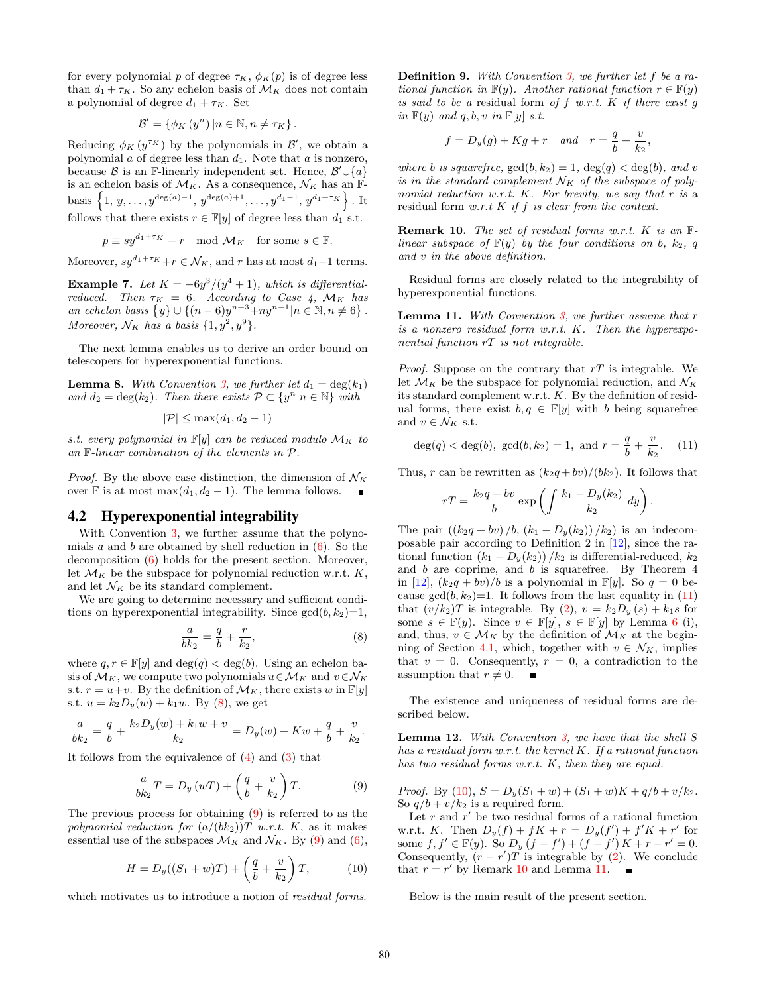for every polynomial p of degree  $\tau_K$ ,  $\phi_K(p)$  is of degree less than  $d_1 + \tau_K$ . So any echelon basis of  $\mathcal{M}_K$  does not contain a polynomial of degree  $d_1 + \tau_K$ . Set

$$
\mathcal{B}' = \{ \phi_K(y^n) | n \in \mathbb{N}, n \neq \tau_K \}.
$$

Reducing  $\phi_K(y^{\tau_K})$  by the polynomials in  $\mathcal{B}'$ , we obtain a polynomial  $a$  of degree less than  $d_1$ . Note that  $a$  is nonzero, because  $\beta$  is an F-linearly independent set. Hence,  $\beta' \cup \{a\}$ is an echelon basis of  $\mathcal{M}_K$ . As a consequence,  $\mathcal{N}_K$  has an  $\mathbb{F}_2$ basis  $\{1, y, \ldots, y^{\deg(a)-1}, y^{\deg(a)+1}, \ldots, y^{d_1-1}, y^{d_1+\tau_K}\}\.$  It follows that there exists  $r \in \mathbb{F}[y]$  of degree less than  $d_1$  s.t.

$$
p \equiv s y^{d_1 + \tau_K} + r \mod \mathcal{M}_K \quad \text{for some } s \in \mathbb{F}.
$$

Moreover,  $sy^{d_1+\tau_K}+r \in \mathcal{N}_K$ , and r has at most  $d_1-1$  terms.

**Example 7.** Let  $K = -6y^3/(y^4 + 1)$ , which is differentialreduced. Then  $\tau_K = 6$ . According to Case 4,  $\mathcal{M}_K$  has an echelon basis  $\{y\} \cup \{(n-6)y^{n+3}+ny^{n-1}|n \in \mathbb{N}, n \neq 6\}.$ Moreover,  $\mathcal{N}_K$  has a basis  $\{1, y^2, y^9\}.$ 

The next lemma enables us to derive an order bound on telescopers for hyperexponential functions.

<span id="page-3-7"></span>**Lemma 8.** With Convention [3,](#page-1-4) we further let  $d_1 = \deg(k_1)$ and  $d_2 = \deg(k_2)$ . Then there exists  $\mathcal{P} \subset \{y^n | n \in \mathbb{N}\}\$  with

$$
|\mathcal{P}| \le \max(d_1, d_2 - 1)
$$

s.t. every polynomial in  $\mathbb{F}[y]$  can be reduced modulo  $\mathcal{M}_K$  to an F-linear combination of the elements in P.

*Proof.* By the above case distinction, the dimension of  $\mathcal{N}_K$ over **F** is at most max $(d_1, d_2 - 1)$ . The lemma follows. ■

# 4.2 Hyperexponential integrability

With Convention [3,](#page-1-4) we further assume that the polynomials a and b are obtained by shell reduction in  $(6)$ . So the decomposition [\(6\)](#page-2-3) holds for the present section. Moreover, let  $\mathcal{M}_K$  be the subspace for polynomial reduction w.r.t.  $K$ , and let  $\mathcal{N}_K$  be its standard complement.

We are going to determine necessary and sufficient conditions on hyperexponential integrability. Since  $gcd(b, k_2)=1$ ,

<span id="page-3-0"></span>
$$
\frac{a}{bk_2} = \frac{q}{b} + \frac{r}{k_2},\tag{8}
$$

where  $q, r \in \mathbb{F}[y]$  and  $\deg(q) < \deg(b)$ . Using an echelon basis of  $\mathcal{M}_K$ , we compute two polynomials  $u \in \mathcal{M}_K$  and  $v \in \mathcal{N}_K$ s.t.  $r = u+v$ . By the definition of  $\mathcal{M}_K$ , there exists w in  $\mathbb{F}[y]$ s.t.  $u = k_2D_y(w) + k_1w$ . By [\(8\)](#page-3-0), we get

$$
\frac{a}{bk_2} = \frac{q}{b} + \frac{k_2 D_y(w) + k_1 w + v}{k_2} = D_y(w) + Kw + \frac{q}{b} + \frac{v}{k_2}.
$$

It follows from the equivalence of  $(4)$  and  $(3)$  that

<span id="page-3-1"></span>
$$
\frac{a}{bk_2}T = D_y(wT) + \left(\frac{q}{b} + \frac{v}{k_2}\right)T.
$$
 (9)

The previous process for obtaining [\(9\)](#page-3-1) is referred to as the polynomial reduction for  $(a/(bk_2))T$  w.r.t. K, as it makes essential use of the subspaces  $\mathcal{M}_K$  and  $\mathcal{N}_K$ . By [\(9\)](#page-3-1) and [\(6\)](#page-2-3),

<span id="page-3-3"></span>
$$
H = D_y((S_1 + w)T) + \left(\frac{q}{b} + \frac{v}{k_2}\right)T, \tag{10}
$$

which motivates us to introduce a notion of *residual forms*.

Definition 9. With Convention [3,](#page-1-4) we further let f be a rational function in  $\mathbb{F}(y)$ . Another rational function  $r \in \mathbb{F}(y)$ is said to be a residual form of  $f$  w.r.t.  $K$  if there exist  $g$ in  $\mathbb{F}(y)$  and  $q, b, v$  in  $\mathbb{F}[y]$  s.t.

$$
f = D_y(g) + Kg + r \quad and \quad r = \frac{q}{b} + \frac{v}{k_2},
$$

where b is squarefree,  $gcd(b, k_2) = 1$ ,  $deg(q) < deg(b)$ , and v is in the standard complement  $\mathcal{N}_K$  of the subspace of polynomial reduction w.r.t.  $K$ . For brevity, we say that r is a residual form  $w.r.t K if f is clear from the context.$ 

<span id="page-3-4"></span>**Remark 10.** The set of residual forms w.r.t.  $K$  is an  $\mathbb{F}$ linear subspace of  $\mathbb{F}(y)$  by the four conditions on b,  $k_2$ , q and v in the above definition.

Residual forms are closely related to the integrability of hyperexponential functions.

<span id="page-3-5"></span>**Lemma 11.** With Convention  $3$ , we further assume that  $r$ is a nonzero residual form w.r.t. K. Then the hyperexponential function rT is not integrable.

*Proof.* Suppose on the contrary that  $rT$  is integrable. We let  $\mathcal{M}_K$  be the subspace for polynomial reduction, and  $\mathcal{N}_K$ its standard complement w.r.t. K. By the definition of residual forms, there exist  $b, q \in \mathbb{F}[y]$  with b being squarefree and  $v \in \mathcal{N}_K$  s.t.

<span id="page-3-2"></span>
$$
deg(q) < deg(b), gcd(b, k_2) = 1, and r = \frac{q}{b} + \frac{v}{k_2}.
$$
 (11)

Thus, r can be rewritten as  $(k_2q + bv)/(bk_2)$ . It follows that

$$
rT = \frac{k_2q + bv}{b} \exp\left(\int \frac{k_1 - D_y(k_2)}{k_2} dy\right).
$$

The pair  $((k_2q + bv)/b, (k_1 - D_y(k_2))/k_2)$  is an indecomposable pair according to Definition 2 in [\[12\]](#page-7-4), since the rational function  $(k_1 - D_y(k_2)) / k_2$  is differential-reduced,  $k_2$ and b are coprime, and b is squarefree. By Theorem 4 in [\[12\]](#page-7-4),  $(k_2q + bv)/b$  is a polynomial in  $\mathbb{F}[y]$ . So  $q = 0$  because  $gcd(b, k_2)=1$ . It follows from the last equality in [\(11\)](#page-3-2) that  $(v/k_2)T$  is integrable. By [\(2\)](#page-1-6),  $v = k_2D_y(s) + k_1s$  for some  $s \in \mathbb{F}(y)$ . Since  $v \in \mathbb{F}[y]$ ,  $s \in \mathbb{F}[y]$  by Lemma [6](#page-2-1) (i), and, thus,  $v \in \mathcal{M}_K$  by the definition of  $\mathcal{M}_K$  at the begin-ning of Section [4.1,](#page-2-5) which, together with  $v \in \mathcal{N}_K$ , implies that  $v = 0$ . Consequently,  $r = 0$ , a contradiction to the assumption that  $r \neq 0$ .

The existence and uniqueness of residual forms are described below.

<span id="page-3-6"></span>**Lemma 12.** With Convention  $\beta$ , we have that the shell S has a residual form w.r.t. the kernel  $K$ . If a rational function has two residual forms w.r.t. K, then they are equal.

*Proof.* By [\(10\)](#page-3-3),  $S = D_y(S_1 + w) + (S_1 + w)K + q/b + v/k_2$ . So  $q/b + v/k_2$  is a required form.

Let  $r$  and  $r'$  be two residual forms of a rational function w.r.t. K. Then  $D_y(f) + fK + r = D_y(f') + f'K + r'$  for some  $f, f' \in \mathbb{F}(y)$ . So  $D_y (f - f') + (f - f') K + r - r' = 0$ . Consequently,  $(r - r')T$  is integrable by [\(2\)](#page-1-6). We conclude that  $r = r'$  by Remark [10](#page-3-4) and Lemma [11.](#page-3-5)

Below is the main result of the present section.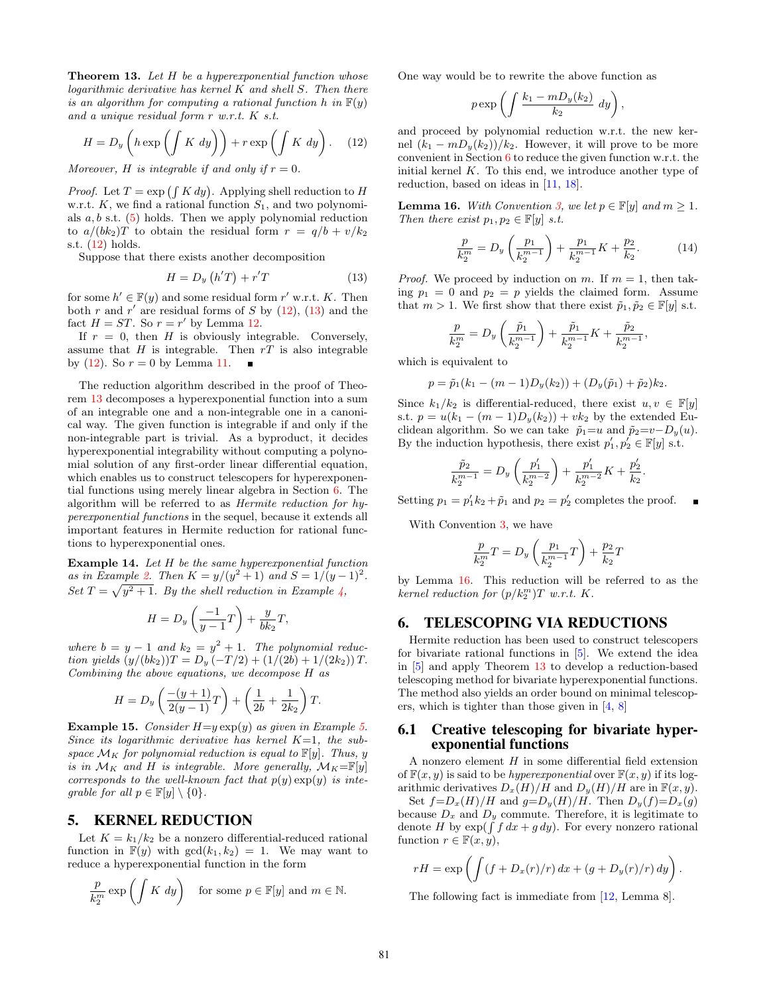<span id="page-4-4"></span>Theorem 13. Let H be a hyperexponential function whose  $logarithmic$  derivative has kernel  $K$  and shell  $S$ . Then there is an algorithm for computing a rational function h in  $F(y)$ and a unique residual form r w.r.t. K s.t.

<span id="page-4-2"></span>
$$
H = D_y \left( h \exp \left( \int K dy \right) \right) + r \exp \left( \int K dy \right). \quad (12)
$$

Moreover, H is integrable if and only if  $r = 0$ .

*Proof.* Let  $T = \exp\left(\int K dy\right)$ . Applying shell reduction to H w.r.t.  $K$ , we find a rational function  $S_1$ , and two polynomials  $a, b$  s.t.  $(5)$  holds. Then we apply polynomial reduction to  $a/(bk_2)T$  to obtain the residual form  $r = q/b + v/k_2$ s.t. [\(12\)](#page-4-2) holds.

Suppose that there exists another decomposition

<span id="page-4-3"></span>
$$
H = D_y \left( h'T \right) + r'T \tag{13}
$$

for some  $h' \in \mathbb{F}(y)$  and some residual form r' w.r.t. K. Then both r and r' are residual forms of S by  $(12)$ ,  $(13)$  and the fact  $H = ST$ . So  $r = r'$  by Lemma [12.](#page-3-6)

If  $r = 0$ , then H is obviously integrable. Conversely, assume that  $H$  is integrable. Then  $rT$  is also integrable by [\(12\)](#page-4-2). So  $r = 0$  by Lemma [11.](#page-3-5)  $\blacksquare$ 

The reduction algorithm described in the proof of Theorem [13](#page-4-4) decomposes a hyperexponential function into a sum of an integrable one and a non-integrable one in a canonical way. The given function is integrable if and only if the non-integrable part is trivial. As a byproduct, it decides hyperexponential integrability without computing a polynomial solution of any first-order linear differential equation, which enables us to construct telescopers for hyperexponential functions using merely linear algebra in Section [6.](#page-4-1) The algorithm will be referred to as Hermite reduction for hyperexponential functions in the sequel, because it extends all important features in Hermite reduction for rational functions to hyperexponential ones.

Example 14. Let H be the same hyperexponential function as in Example [2.](#page-1-3) Then  $K = y/(y^2 + 1)$  and  $S = 1/(y - 1)^2$ . Set  $T = \sqrt{y^2 + 1}$ . By the shell reduction in Example [4,](#page-2-6)

$$
H=D_y\left(\frac{-1}{y-1}T\right)+\frac{y}{bk_2}T,
$$

where  $b = y - 1$  and  $k_2 = y^2 + 1$ . The polynomial reduction yields  $(y/(bk_2))T = D_y(-T/2) + (1/(2b) + 1/(2k_2))T$ . Combining the above equations, we decompose H as

$$
H = D_y \left( \frac{-(y+1)}{2(y-1)} T \right) + \left( \frac{1}{2b} + \frac{1}{2k_2} \right) T.
$$

Example 1[5.](#page-2-7) Consider  $H= y \exp(y)$  as given in Example 5. Since its logarithmic derivative has kernel  $K=1$ , the subspace  $\mathcal{M}_K$  for polynomial reduction is equal to  $\mathbb{F}[y]$ . Thus, y is in  $\mathcal{M}_K$  and H is integrable. More generally,  $\mathcal{M}_K = \mathbb{F}[y]$ corresponds to the well-known fact that  $p(y) \exp(y)$  is integrable for all  $p \in \mathbb{F}[y] \setminus \{0\}.$ 

## <span id="page-4-0"></span>5. KERNEL REDUCTION

Let  $K = k_1/k_2$  be a nonzero differential-reduced rational function in  $F(y)$  with  $gcd(k_1, k_2) = 1$ . We may want to reduce a hyperexponential function in the form

$$
\frac{p}{k_2^m} \exp\left(\int K \, dy\right) \quad \text{for some } p \in \mathbb{F}[y] \text{ and } m \in \mathbb{N}.
$$

One way would be to rewrite the above function as

$$
p \exp\left(\int \frac{k_1 - m D_y(k_2)}{k_2} dy\right),\,
$$

and proceed by polynomial reduction w.r.t. the new kernel  $(k_1 - mD_y(k_2))/k_2$ . However, it will prove to be more convenient in Section [6](#page-4-1) to reduce the given function w.r.t. the initial kernel  $K$ . To this end, we introduce another type of reduction, based on ideas in [\[11,](#page-7-3) [18\]](#page-7-11).

<span id="page-4-5"></span>**Lemma 16.** With Convention [3,](#page-1-4) we let  $p \in \mathbb{F}[y]$  and  $m \geq 1$ . Then there exist  $p_1, p_2 \in \mathbb{F}[y]$  s.t.

$$
\frac{p}{k_2^m} = D_y \left(\frac{p_1}{k_2^{m-1}}\right) + \frac{p_1}{k_2^{m-1}} K + \frac{p_2}{k_2}.
$$
 (14)

*Proof.* We proceed by induction on m. If  $m = 1$ , then taking  $p_1 = 0$  and  $p_2 = p$  yields the claimed form. Assume that  $m > 1$ . We first show that there exist  $\tilde{p}_1, \tilde{p}_2 \in \mathbb{F}[y]$  s.t.

$$
\frac{p}{k_2^m} = D_y \left( \frac{\tilde{p}_1}{k_2^{m-1}} \right) + \frac{\tilde{p}_1}{k_2^{m-1}} K + \frac{\tilde{p}_2}{k_2^{m-1}},
$$

which is equivalent to

$$
p = \tilde{p}_1(k_1 - (m-1)D_y(k_2)) + (D_y(\tilde{p}_1) + \tilde{p}_2)k_2.
$$

Since  $k_1/k_2$  is differential-reduced, there exist  $u, v \in \mathbb{F}[y]$ s.t.  $p = u(k_1 - (m-1)D_y(k_2)) + vk_2$  by the extended Euclidean algorithm. So we can take  $\tilde{p}_1=u$  and  $\tilde{p}_2=v-D_y(u)$ . By the induction hypothesis, there exist  $p'_1, p'_2 \in \mathbb{F}[y]$  s.t.

$$
\frac{\tilde{p}_2}{k_2^{m-1}} = D_y \left(\frac{p'_1}{k_2^{m-2}}\right) + \frac{p'_1}{k_2^{m-2}} K + \frac{p'_2}{k_2}.
$$

Setting  $p_1 = p'_1 k_2 + \tilde{p}_1$  and  $p_2 = p'_2$  completes the proof.  $\blacksquare$ 

With Convention [3,](#page-1-4) we have

$$
\frac{p}{k_2^m}T=D_y\left(\frac{p_1}{k_2^{m-1}}T\right)+\frac{p_2}{k_2}T
$$

by Lemma [16.](#page-4-5) This reduction will be referred to as the kernel reduction for  $(p/k_2^m)T$  w.r.t. K.

#### <span id="page-4-1"></span>6. TELESCOPING VIA REDUCTIONS

Hermite reduction has been used to construct telescopers for bivariate rational functions in [\[5\]](#page-7-10). We extend the idea in [\[5\]](#page-7-10) and apply Theorem [13](#page-4-4) to develop a reduction-based telescoping method for bivariate hyperexponential functions. The method also yields an order bound on minimal telescopers, which is tighter than those given in [\[4,](#page-7-12) [8\]](#page-7-13)

#### 6.1 Creative telescoping for bivariate hyperexponential functions

A nonzero element  $H$  in some differential field extension of  $\mathbb{F}(x, y)$  is said to be *hyperexponential* over  $\mathbb{F}(x, y)$  if its logarithmic derivatives  $D_x(H)/H$  and  $D_y(H)/H$  are in  $\mathbb{F}(x, y)$ .

Set  $f=D_x(H)/H$  and  $g=D_y(H)/H$ . Then  $D_y(f)=D_x(g)$ because  $D_x$  and  $D_y$  commute. Therefore, it is legitimate to denote H by  $\exp(\int f dx + g dy)$ . For every nonzero rational function  $r \in \mathbb{F}(x, y)$ ,

$$
rH = \exp\left(\int (f + D_x(r)/r) dx + (g + D_y(r)/r) dy\right).
$$

The following fact is immediate from [\[12,](#page-7-4) Lemma 8].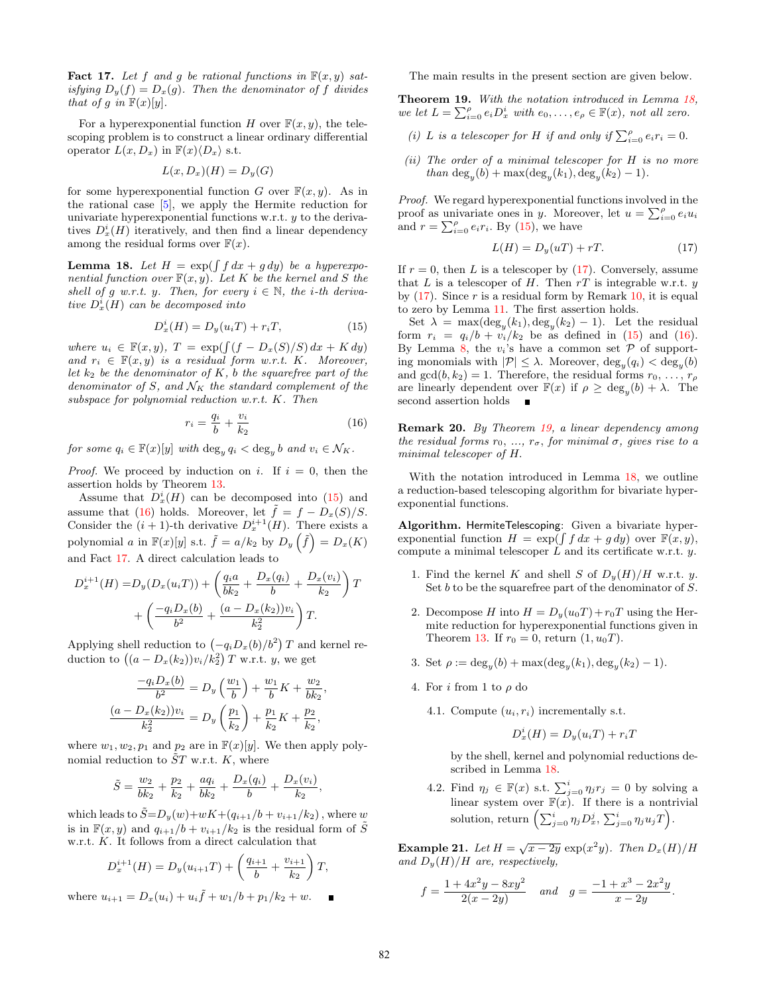<span id="page-5-2"></span>**Fact 17.** Let f and g be rational functions in  $F(x, y)$  satisfying  $D_y(f) = D_x(g)$ . Then the denominator of f divides that of g in  $\mathbb{F}(x)[y]$ .

For a hyperexponential function H over  $\mathbb{F}(x, y)$ , the telescoping problem is to construct a linear ordinary differential operator  $L(x, D_x)$  in  $\mathbb{F}(x)\langle D_x \rangle$  s.t.

$$
L(x, D_x)(H) = D_y(G)
$$

for some hyperexponential function G over  $\mathbb{F}(x, y)$ . As in the rational case [\[5\]](#page-7-10), we apply the Hermite reduction for univariate hyperexponential functions w.r.t. y to the derivatives  $D_x^i(H)$  iteratively, and then find a linear dependency among the residual forms over  $F(x)$ .

<span id="page-5-3"></span>**Lemma 18.** Let  $H = \exp(\int f dx + g dy)$  be a hyperexponential function over  $\mathbb{F}(x, y)$ . Let K be the kernel and S the shell of g w.r.t. y. Then, for every  $i \in \mathbb{N}$ , the *i*-th derivative  $D_x^i(H)$  can be decomposed into

<span id="page-5-0"></span>
$$
D_x^i(H) = D_y(u_iT) + r_iT,\t\t(15)
$$

where  $u_i \in \mathbb{F}(x, y)$ ,  $T = \exp(\int (f - D_x(S)/S) dx + K dy)$ and  $r_i \in \mathbb{F}(x, y)$  is a residual form w.r.t. K. Moreover, let  $k_2$  be the denominator of K, b the squarefree part of the denominator of S, and  $\mathcal{N}_K$  the standard complement of the subspace for polynomial reduction w.r.t. K. Then

<span id="page-5-1"></span>
$$
r_i = \frac{q_i}{b} + \frac{v_i}{k_2} \tag{16}
$$

for some  $q_i \in \mathbb{F}(x)[y]$  with  $\deg_y q_i < \deg_y b$  and  $v_i \in \mathcal{N}_K$ .

*Proof.* We proceed by induction on i. If  $i = 0$ , then the assertion holds by Theorem [13.](#page-4-4)

Assume that  $D_x^i(H)$  can be decomposed into [\(15\)](#page-5-0) and assume that [\(16\)](#page-5-1) holds. Moreover, let  $\tilde{f} = f - D_x(S)/S$ . Consider the  $(i + 1)$ -th derivative  $D_x^{i+1}(H)$ . There exists a polynomial a in  $\mathbb{F}(x)[y]$  s.t.  $\tilde{f} = a/k_2$  by  $D_y(\tilde{f}) = D_x(K)$ and Fact [17.](#page-5-2) A direct calculation leads to

$$
D_x^{i+1}(H) = D_y(D_x(u_iT)) + \left(\frac{q_i a}{bk_2} + \frac{D_x(q_i)}{b} + \frac{D_x(v_i)}{k_2}\right)T + \left(\frac{-q_i D_x(b)}{b^2} + \frac{(a - D_x(k_2))v_i}{k_2^2}\right)T.
$$

Applying shell reduction to  $(-q_i D_x(b)/b^2)$  T and kernel reduction to  $((a - D_x(k_2))v_i/k_2^2)$  T w.r.t. y, we get

$$
\frac{-q_i D_x(b)}{b^2} = D_y \left(\frac{w_1}{b}\right) + \frac{w_1}{b} K + \frac{w_2}{bk_2},
$$

$$
\frac{(a - D_x(k_2))v_i}{k_2^2} = D_y \left(\frac{p_1}{k_2}\right) + \frac{p_1}{k_2} K + \frac{p_2}{k_2},
$$

where  $w_1, w_2, p_1$  and  $p_2$  are in  $\mathbb{F}(x)[y]$ . We then apply polynomial reduction to  $ST$  w.r.t. K, where

$$
\tilde{S} = \frac{w_2}{bk_2} + \frac{p_2}{k_2} + \frac{aq_i}{bk_2} + \frac{D_x(q_i)}{b} + \frac{D_x(v_i)}{k_2}
$$

which leads to  $\tilde{S} = D_y(w) + wK + (q_{i+1}/b + v_{i+1}/k_2)$ , where w is in  $\mathbb{F}(x, y)$  and  $q_{i+1}/b + v_{i+1}/k_2$  is the residual form of  $\tilde{S}$ w.r.t. K. It follows from a direct calculation that

$$
D_x^{i+1}(H) = D_y(u_{i+1}T) + \left(\frac{q_{i+1}}{b} + \frac{v_{i+1}}{k_2}\right)T,
$$

where  $u_{i+1} = D_x(u_i) + u_i \tilde{f} + w_1/b + p_1/k_2 + w$ .

The main results in the present section are given below.

<span id="page-5-5"></span>Theorem 19. With the notation introduced in Lemma [18,](#page-5-3) we let  $L = \sum_{i=0}^{\rho} e_i D_x^i$  with  $e_0, \ldots, e_{\rho} \in \mathbb{F}(x)$ , not all zero.

- (i) L is a telescoper for H if and only if  $\sum_{i=0}^{\rho} e_i r_i = 0$ .
- (ii) The order of a minimal telescoper for  $H$  is no more than  $\deg_y(b) + \max(\deg_y(k_1), \deg_y(k_2) - 1)$ .

Proof. We regard hyperexponential functions involved in the proof as univariate ones in y. Moreover, let  $u = \sum_{i=0}^{\rho} e_i u_i$ and  $r = \sum_{i=0}^{\rho} e_i r_i$ . By [\(15\)](#page-5-0), we have

<span id="page-5-4"></span>
$$
L(H) = D_y(uT) + rT.
$$
\n(17)

If  $r = 0$ , then L is a telescoper by [\(17\)](#page-5-4). Conversely, assume that L is a telescoper of H. Then  $rT$  is integrable w.r.t.  $y$ by  $(17)$ . Since r is a residual form by Remark [10,](#page-3-4) it is equal to zero by Lemma [11.](#page-3-5) The first assertion holds.

Set  $\lambda = \max(\deg_y(k_1), \deg_y(k_2) - 1)$ . Let the residual form  $r_i = q_i/b + v_i/k_2$  be as defined in [\(15\)](#page-5-0) and [\(16\)](#page-5-1). By Lemma [8,](#page-3-7) the  $v_i$ 's have a common set  $P$  of supporting monomials with  $|\mathcal{P}| \leq \lambda$ . Moreover,  $\deg_y(q_i) < \deg_y(b)$ and  $gcd(b, k_2) = 1$ . Therefore, the residual forms  $r_0, \ldots, r_\rho$ are linearly dependent over  $\mathbb{F}(x)$  if  $\rho \ge \deg_y(b) + \lambda$ . The second assertion holds

Remark 20. By Theorem [19,](#page-5-5) a linear dependency among the residual forms  $r_0, ..., r_{\sigma}$ , for minimal  $\sigma$ , gives rise to a minimal telescoper of H.

With the notation introduced in Lemma [18,](#page-5-3) we outline a reduction-based telescoping algorithm for bivariate hyperexponential functions.

Algorithm. HermiteTelescoping: Given a bivariate hyperexponential function  $H = \exp(\int f dx + g dy)$  over  $\mathbb{F}(x, y)$ , compute a minimal telescoper  $L$  and its certificate w.r.t.  $y$ .

- 1. Find the kernel K and shell S of  $D_y(H)/H$  w.r.t. y. Set  $b$  to be the squarefree part of the denominator of  $S$ .
- 2. Decompose H into  $H = D_y(u_0T) + r_0T$  using the Hermite reduction for hyperexponential functions given in Theorem [13.](#page-4-4) If  $r_0 = 0$ , return  $(1, u_0T)$ .
- 3. Set  $\rho := \deg_y(b) + \max(\deg_y(k_1), \deg_y(k_2) 1)$ .
- 4. For i from 1 to  $\rho$  do
	- 4.1. Compute  $(u_i, r_i)$  incrementally s.t.

$$
D_x^i(H) = D_y(u_iT) + r_iT
$$

by the shell, kernel and polynomial reductions described in Lemma [18.](#page-5-3)

4.2. Find  $\eta_j \in \mathbb{F}(x)$  s.t.  $\sum_{j=0}^i \eta_j r_j = 0$  by solving a linear system over  $F(x)$ . If there is a nontrivial solution, return  $\left(\sum_{j=0}^i \eta_j D_x^j, \sum_{j=0}^i \eta_j u_j T\right)$ .

**Example 21.** Let  $H = \sqrt{x - 2y} \exp(x^2y)$ . Then  $D_x(H)/H$ and  $D_y(H)/H$  are, respectively,

$$
f = \frac{1 + 4x^2y - 8xy^2}{2(x - 2y)}
$$
 and  $g = \frac{-1 + x^3 - 2x^2y}{x - 2y}$ .

,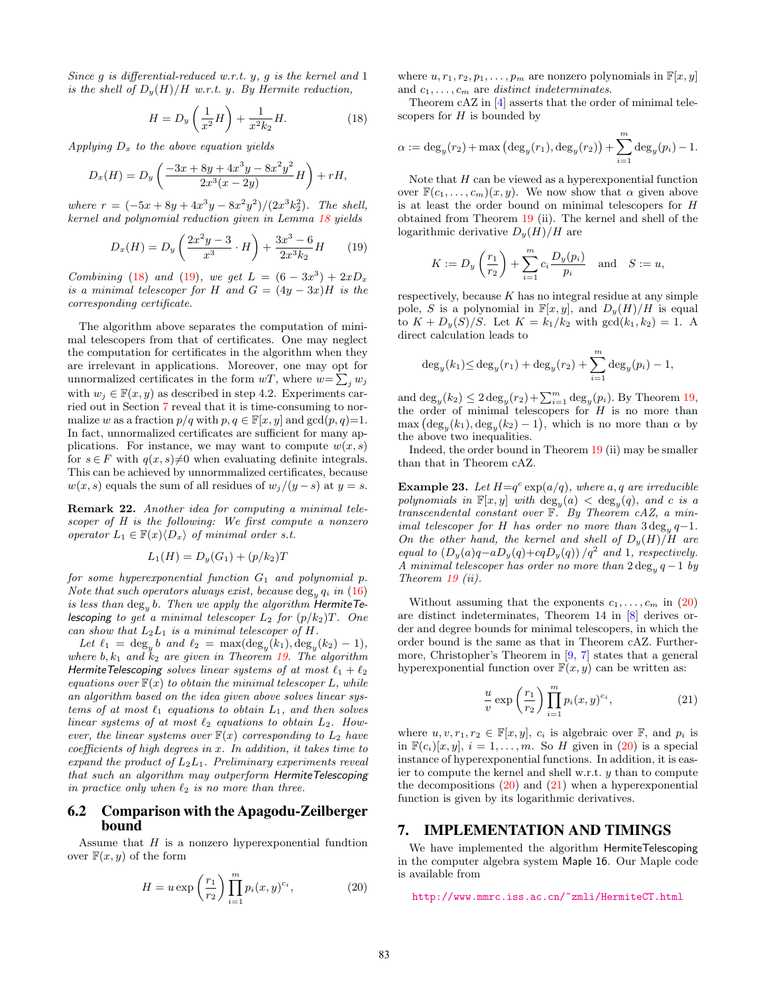Since  $g$  is differential-reduced w.r.t.  $y$ ,  $g$  is the kernel and  $1$ is the shell of  $D_y(H)/H$  w.r.t. y. By Hermite reduction,

<span id="page-6-1"></span>
$$
H = D_y \left(\frac{1}{x^2} H\right) + \frac{1}{x^2 k_2} H.
$$
 (18)

Applying  $D_x$  to the above equation yields

$$
D_x(H) = D_y \left( \frac{-3x + 8y + 4x^3y - 8x^2y^2}{2x^3(x - 2y)} H \right) + rH,
$$

where  $r = (-5x + 8y + 4x^3y - 8x^2y^2)/(2x^3k_2^2)$ . The shell, kernel and polynomial reduction given in Lemma [18](#page-5-3) yields

<span id="page-6-2"></span>
$$
D_x(H) = D_y \left(\frac{2x^2y - 3}{x^3} \cdot H\right) + \frac{3x^3 - 6}{2x^3k_2}H \qquad (19)
$$

Combining [\(18\)](#page-6-1) and [\(19\)](#page-6-2), we get  $L = (6 - 3x^3) + 2xD_x$ is a minimal telescoper for H and  $G = (4y - 3x)H$  is the corresponding certificate.

The algorithm above separates the computation of minimal telescopers from that of certificates. One may neglect the computation for certificates in the algorithm when they are irrelevant in applications. Moreover, one may opt for unnormalized certificates in the form  $wT$ , where  $w = \sum_j w_j$ with  $w_j \in \mathbb{F}(x, y)$  as described in step 4.2. Experiments carried out in Section [7](#page-6-0) reveal that it is time-consuming to normalize w as a fraction  $p/q$  with  $p, q \in \mathbb{F}[x, y]$  and  $gcd(p, q)=1$ . In fact, unnormalized certificates are sufficient for many applications. For instance, we may want to compute  $w(x, s)$ for  $s \in F$  with  $q(x, s) \neq 0$  when evaluating definite integrals. This can be achieved by unnormmalized certificates, because  $w(x, s)$  equals the sum of all residues of  $w_j/(y - s)$  at  $y = s$ .

Remark 22. Another idea for computing a minimal telescoper of H is the following: We first compute a nonzero operator  $L_1 \in \mathbb{F}(x)\langle D_x \rangle$  of minimal order s.t.

$$
L_1(H) = D_y(G_1) + (p/k_2)T
$$

for some hyperexponential function  $G_1$  and polynomial p. Note that such operators always exist, because  $\deg_y q_i$  in [\(16\)](#page-5-1) is less than  $\deg_y b$ . Then we apply the algorithm HermiteTelescoping to get a minimal telescoper  $L_2$  for  $(p/k_2)T$ . One can show that  $L_2L_1$  is a minimal telescoper of  $H$ .

Let  $\ell_1 = \deg_y b$  and  $\ell_2 = \max(\deg_y(k_1), \deg_y(k_2) - 1),$ where  $b, k_1$  and  $k_2$  are given in Theorem [19.](#page-5-5) The algorithm HermiteTelescoping solves linear systems of at most  $\ell_1 + \ell_2$ equations over  $F(x)$  to obtain the minimal telescoper L, while an algorithm based on the idea given above solves linear systems of at most  $\ell_1$  equations to obtain  $L_1$ , and then solves linear systems of at most  $\ell_2$  equations to obtain  $L_2$ . However, the linear systems over  $\mathbb{F}(x)$  corresponding to  $L_2$  have coefficients of high degrees in x. In addition, it takes time to expand the product of  $L_2L_1$ . Preliminary experiments reveal that such an algorithm may outperform HermiteTelescoping in practice only when  $\ell_2$  is no more than three.

#### 6.2 Comparison with the Apagodu-Zeilberger bound

Assume that  $H$  is a nonzero hyperexponential fundtion over  $\mathbb{F}(x, y)$  of the form

<span id="page-6-3"></span>
$$
H = u \exp\left(\frac{r_1}{r_2}\right) \prod_{i=1}^m p_i(x, y)^{c_i},\tag{20}
$$

where  $u, r_1, r_2, p_1, \ldots, p_m$  are nonzero polynomials in  $\mathbb{F}[x, y]$ and  $c_1, \ldots, c_m$  are distinct indeterminates.

Theorem cAZ in [\[4\]](#page-7-12) asserts that the order of minimal telescopers for  $H$  is bounded by

$$
\alpha := \deg_y(r_2) + \max(\deg_y(r_1), \deg_y(r_2)) + \sum_{i=1}^m \deg_y(p_i) - 1.
$$

Note that  $H$  can be viewed as a hyperexponential function over  $\mathbb{F}(c_1,\ldots,c_m)(x,y)$ . We now show that  $\alpha$  given above is at least the order bound on minimal telescopers for H obtained from Theorem [19](#page-5-5) (ii). The kernel and shell of the logarithmic derivative  $D_u(H)/H$  are

$$
K := D_y\left(\frac{r_1}{r_2}\right) + \sum_{i=1}^m c_i \frac{D_y(p_i)}{p_i} \text{ and } S := u,
$$

respectively, because  $K$  has no integral residue at any simple pole, S is a polynomial in  $\mathbb{F}[x, y]$ , and  $D_y(H)/H$  is equal to  $K + D_y(S)/S$ . Let  $K = k_1/k_2$  with  $gcd(k_1, k_2) = 1$ . A direct calculation leads to

$$
\deg_y(k_1) \le \deg_y(r_1) + \deg_y(r_2) + \sum_{i=1}^m \deg_y(p_i) - 1,
$$

and  $\deg_y(k_2) \leq 2 \deg_y(r_2) + \sum_{i=1}^m \deg_y(p_i)$ . By Theorem [19,](#page-5-5) the order of minimal telescopers for  $H$  is no more than  $\max (\deg_y(k_1), \deg_y(k_2) - 1)$ , which is no more than  $\alpha$  by the above two inequalities.

Indeed, the order bound in Theorem [19](#page-5-5) (ii) may be smaller than that in Theorem cAZ.

**Example 23.** Let  $H=q^c \exp(a/q)$ , where a, q are irreducible polynomials in  $\mathbb{F}[x, y]$  with  $\deg_y(a) < \deg_y(q)$ , and c is a transcendental constant over  $\mathbb{F}$ . By Theorem cAZ, a minimal telescoper for H has order no more than  $3 \deg_y q - 1$ . On the other hand, the kernel and shell of  $D_y(H)/H$  are equal to  $(D_y(a)q - aD_y(q) + cqD_y(q)) / q^2$  and 1, respectively. A minimal telescoper has order no more than  $2 \deg_y q - 1$  by Theorem [19](#page-5-5) (ii).

Without assuming that the exponents  $c_1, \ldots, c_m$  in [\(20\)](#page-6-3) are distinct indeterminates, Theorem 14 in [\[8\]](#page-7-13) derives order and degree bounds for minimal telescopers, in which the order bound is the same as that in Theorem cAZ. Furthermore, Christopher's Theorem in [\[9,](#page-7-16) [7\]](#page-7-17) states that a general hyperexponential function over  $F(x, y)$  can be written as:

<span id="page-6-4"></span>
$$
\frac{u}{v}\exp\left(\frac{r_1}{r_2}\right)\prod_{i=1}^m p_i(x,y)^{c_i},\tag{21}
$$

where  $u, v, r_1, r_2 \in \mathbb{F}[x, y], c_i$  is algebraic over  $\mathbb{F}$ , and  $p_i$  is in  $\mathbb{F}(c_i)[x, y], i = 1, \ldots, m$ . So H given in [\(20\)](#page-6-3) is a special instance of hyperexponential functions. In addition, it is easier to compute the kernel and shell w.r.t.  $y$  than to compute the decompositions  $(20)$  and  $(21)$  when a hyperexponential function is given by its logarithmic derivatives.

#### <span id="page-6-0"></span>7. IMPLEMENTATION AND TIMINGS

We have implemented the algorithm HermiteTelescoping in the computer algebra system Maple 16. Our Maple code is available from

<http://www.mmrc.iss.ac.cn/~zmli/HermiteCT.html>